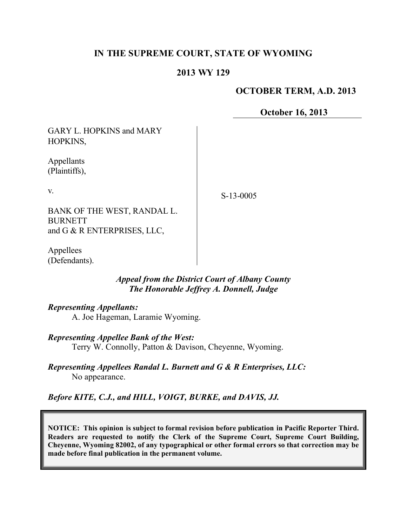# **IN THE SUPREME COURT, STATE OF WYOMING**

## **2013 WY 129**

# **OCTOBER TERM, A.D. 2013**

**October 16, 2013**

GARY L. HOPKINS and MARY HOPKINS,

Appellants (Plaintiffs),

v.

S-13-0005

BANK OF THE WEST, RANDAL L. BURNETT and G & R ENTERPRISES, LLC,

Appellees (Defendants).

## *Appeal from the District Court of Albany County The Honorable Jeffrey A. Donnell, Judge*

*Representing Appellants:*

A. Joe Hageman, Laramie Wyoming.

*Representing Appellee Bank of the West:*

Terry W. Connolly, Patton & Davison, Cheyenne, Wyoming.

*Representing Appellees Randal L. Burnett and G & R Enterprises, LLC:* No appearance.

*Before KITE, C.J., and HILL, VOIGT, BURKE, and DAVIS, JJ.*

**NOTICE: This opinion is subject to formal revision before publication in Pacific Reporter Third. Readers are requested to notify the Clerk of the Supreme Court, Supreme Court Building, Cheyenne, Wyoming 82002, of any typographical or other formal errors so that correction may be made before final publication in the permanent volume.**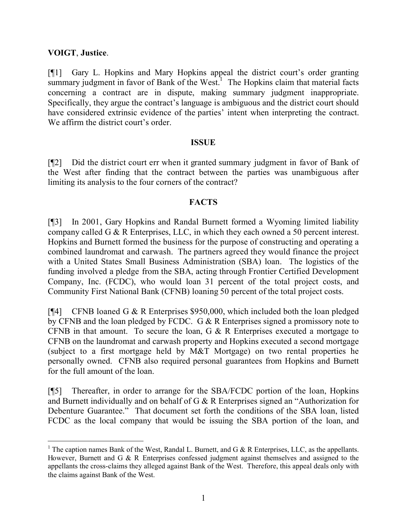# **VOIGT**, **Justice**.

[¶1] Gary L. Hopkins and Mary Hopkins appeal the district court's order granting summary judgment in favor of Bank of the West.<sup>1</sup> The Hopkins claim that material facts concerning a contract are in dispute, making summary judgment inappropriate. Specifically, they argue the contract's language is ambiguous and the district court should have considered extrinsic evidence of the parties' intent when interpreting the contract. We affirm the district court's order.

#### **ISSUE**

[¶2] Did the district court err when it granted summary judgment in favor of Bank of the West after finding that the contract between the parties was unambiguous after limiting its analysis to the four corners of the contract?

## **FACTS**

[¶3] In 2001, Gary Hopkins and Randal Burnett formed a Wyoming limited liability company called G & R Enterprises, LLC, in which they each owned a 50 percent interest. Hopkins and Burnett formed the business for the purpose of constructing and operating a combined laundromat and carwash. The partners agreed they would finance the project with a United States Small Business Administration (SBA) loan. The logistics of the funding involved a pledge from the SBA, acting through Frontier Certified Development Company, Inc. (FCDC), who would loan 31 percent of the total project costs, and Community First National Bank (CFNB) loaning 50 percent of the total project costs.

[¶4] CFNB loaned G & R Enterprises \$950,000, which included both the loan pledged by CFNB and the loan pledged by FCDC. G & R Enterprises signed a promissory note to CFNB in that amount. To secure the loan, G & R Enterprises executed a mortgage to CFNB on the laundromat and carwash property and Hopkins executed a second mortgage (subject to a first mortgage held by M&T Mortgage) on two rental properties he personally owned. CFNB also required personal guarantees from Hopkins and Burnett for the full amount of the loan.

[¶5] Thereafter, in order to arrange for the SBA/FCDC portion of the loan, Hopkins and Burnett individually and on behalf of G & R Enterprises signed an "Authorization for Debenture Guarantee." That document set forth the conditions of the SBA loan, listed FCDC as the local company that would be issuing the SBA portion of the loan, and

<sup>&</sup>lt;sup>1</sup> The caption names Bank of the West, Randal L. Burnett, and G  $\&$  R Enterprises, LLC, as the appellants. However, Burnett and G & R Enterprises confessed judgment against themselves and assigned to the appellants the cross-claims they alleged against Bank of the West. Therefore, this appeal deals only with the claims against Bank of the West.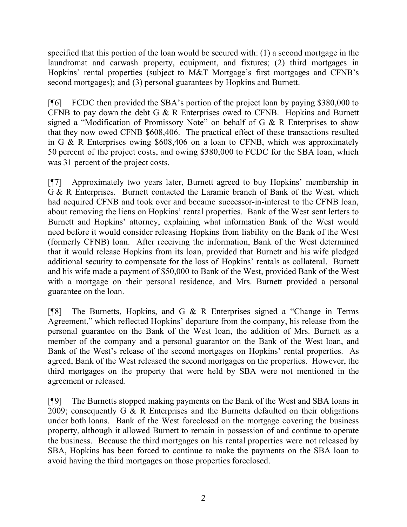specified that this portion of the loan would be secured with: (1) a second mortgage in the laundromat and carwash property, equipment, and fixtures; (2) third mortgages in Hopkins' rental properties (subject to M&T Mortgage's first mortgages and CFNB's second mortgages); and (3) personal guarantees by Hopkins and Burnett.

[¶6] FCDC then provided the SBA's portion of the project loan by paying \$380,000 to CFNB to pay down the debt G & R Enterprises owed to CFNB. Hopkins and Burnett signed a "Modification of Promissory Note" on behalf of G & R Enterprises to show that they now owed CFNB \$608,406. The practical effect of these transactions resulted in G & R Enterprises owing \$608,406 on a loan to CFNB, which was approximately 50 percent of the project costs, and owing \$380,000 to FCDC for the SBA loan, which was 31 percent of the project costs.

[¶7] Approximately two years later, Burnett agreed to buy Hopkins' membership in G & R Enterprises. Burnett contacted the Laramie branch of Bank of the West, which had acquired CFNB and took over and became successor-in-interest to the CFNB loan, about removing the liens on Hopkins' rental properties. Bank of the West sent letters to Burnett and Hopkins' attorney, explaining what information Bank of the West would need before it would consider releasing Hopkins from liability on the Bank of the West (formerly CFNB) loan. After receiving the information, Bank of the West determined that it would release Hopkins from its loan, provided that Burnett and his wife pledged additional security to compensate for the loss of Hopkins' rentals as collateral. Burnett and his wife made a payment of \$50,000 to Bank of the West, provided Bank of the West with a mortgage on their personal residence, and Mrs. Burnett provided a personal guarantee on the loan.

[¶8] The Burnetts, Hopkins, and G & R Enterprises signed a "Change in Terms Agreement," which reflected Hopkins' departure from the company, his release from the personal guarantee on the Bank of the West loan, the addition of Mrs. Burnett as a member of the company and a personal guarantor on the Bank of the West loan, and Bank of the West's release of the second mortgages on Hopkins' rental properties. As agreed, Bank of the West released the second mortgages on the properties. However, the third mortgages on the property that were held by SBA were not mentioned in the agreement or released.

[¶9] The Burnetts stopped making payments on the Bank of the West and SBA loans in 2009; consequently G & R Enterprises and the Burnetts defaulted on their obligations under both loans. Bank of the West foreclosed on the mortgage covering the business property, although it allowed Burnett to remain in possession of and continue to operate the business. Because the third mortgages on his rental properties were not released by SBA, Hopkins has been forced to continue to make the payments on the SBA loan to avoid having the third mortgages on those properties foreclosed.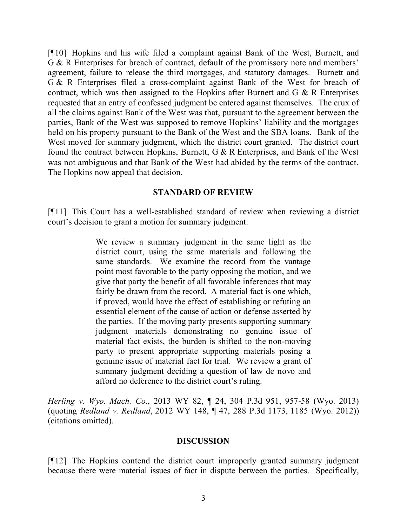[¶10] Hopkins and his wife filed a complaint against Bank of the West, Burnett, and G & R Enterprises for breach of contract, default of the promissory note and members' agreement, failure to release the third mortgages, and statutory damages. Burnett and G & R Enterprises filed a cross-complaint against Bank of the West for breach of contract, which was then assigned to the Hopkins after Burnett and  $G \& R$  Enterprises requested that an entry of confessed judgment be entered against themselves. The crux of all the claims against Bank of the West was that, pursuant to the agreement between the parties, Bank of the West was supposed to remove Hopkins' liability and the mortgages held on his property pursuant to the Bank of the West and the SBA loans. Bank of the West moved for summary judgment, which the district court granted. The district court found the contract between Hopkins, Burnett, G & R Enterprises, and Bank of the West was not ambiguous and that Bank of the West had abided by the terms of the contract. The Hopkins now appeal that decision.

#### **STANDARD OF REVIEW**

[¶11] This Court has a well-established standard of review when reviewing a district court's decision to grant a motion for summary judgment:

> We review a summary judgment in the same light as the district court, using the same materials and following the same standards. We examine the record from the vantage point most favorable to the party opposing the motion, and we give that party the benefit of all favorable inferences that may fairly be drawn from the record. A material fact is one which, if proved, would have the effect of establishing or refuting an essential element of the cause of action or defense asserted by the parties. If the moving party presents supporting summary judgment materials demonstrating no genuine issue of material fact exists, the burden is shifted to the non-moving party to present appropriate supporting materials posing a genuine issue of material fact for trial. We review a grant of summary judgment deciding a question of law de novo and afford no deference to the district court's ruling.

*Herling v. Wyo. Mach. Co.*, 2013 WY 82, ¶ 24, 304 P.3d 951, 957-58 (Wyo. 2013) (quoting *Redland v. Redland*, 2012 WY 148, ¶ 47, 288 P.3d 1173, 1185 (Wyo. 2012)) (citations omitted).

#### **DISCUSSION**

[¶12] The Hopkins contend the district court improperly granted summary judgment because there were material issues of fact in dispute between the parties. Specifically,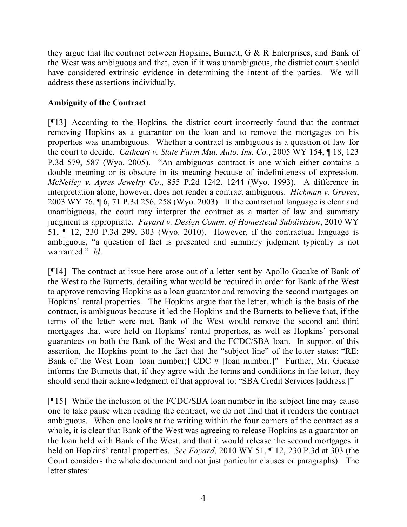they argue that the contract between Hopkins, Burnett, G & R Enterprises, and Bank of the West was ambiguous and that, even if it was unambiguous, the district court should have considered extrinsic evidence in determining the intent of the parties. We will address these assertions individually.

# **Ambiguity of the Contract**

[¶13] According to the Hopkins, the district court incorrectly found that the contract removing Hopkins as a guarantor on the loan and to remove the mortgages on his properties was unambiguous. Whether a contract is ambiguous is a question of law for the court to decide. *Cathcart v. State Farm Mut. Auto. Ins. Co.*, 2005 WY 154, ¶ 18, 123 P.3d 579, 587 (Wyo. 2005). "An ambiguous contract is one which either contains a double meaning or is obscure in its meaning because of indefiniteness of expression. *McNeiley v. Ayres Jewelry Co*., 855 P.2d 1242, 1244 (Wyo. 1993). A difference in interpretation alone, however, does not render a contract ambiguous. *Hickman v. Groves*, 2003 WY 76, ¶ 6, 71 P.3d 256, 258 (Wyo. 2003). If the contractual language is clear and unambiguous, the court may interpret the contract as a matter of law and summary judgment is appropriate. *Fayard v. Design Comm. of Homestead Subdivision*, 2010 WY 51, ¶ 12, 230 P.3d 299, 303 (Wyo. 2010). However, if the contractual language is ambiguous, "a question of fact is presented and summary judgment typically is not warranted." *Id*.

[¶14] The contract at issue here arose out of a letter sent by Apollo Gucake of Bank of the West to the Burnetts, detailing what would be required in order for Bank of the West to approve removing Hopkins as a loan guarantor and removing the second mortgages on Hopkins' rental properties. The Hopkins argue that the letter, which is the basis of the contract, is ambiguous because it led the Hopkins and the Burnetts to believe that, if the terms of the letter were met, Bank of the West would remove the second and third mortgages that were held on Hopkins' rental properties, as well as Hopkins' personal guarantees on both the Bank of the West and the FCDC/SBA loan. In support of this assertion, the Hopkins point to the fact that the "subject line" of the letter states: "RE: Bank of the West Loan [loan number;] CDC # [loan number.]" Further, Mr. Gucake informs the Burnetts that, if they agree with the terms and conditions in the letter, they should send their acknowledgment of that approval to: "SBA Credit Services [address.]"

[¶15] While the inclusion of the FCDC/SBA loan number in the subject line may cause one to take pause when reading the contract, we do not find that it renders the contract ambiguous. When one looks at the writing within the four corners of the contract as a whole, it is clear that Bank of the West was agreeing to release Hopkins as a guarantor on the loan held with Bank of the West, and that it would release the second mortgages it held on Hopkins' rental properties. *See Fayard*, 2010 WY 51, ¶ 12, 230 P.3d at 303 (the Court considers the whole document and not just particular clauses or paragraphs). The letter states: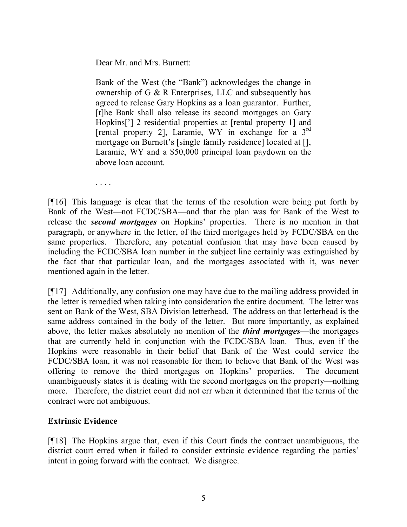Dear Mr. and Mrs. Burnett:

Bank of the West (the "Bank") acknowledges the change in ownership of G & R Enterprises, LLC and subsequently has agreed to release Gary Hopkins as a loan guarantor. Further, [t]he Bank shall also release its second mortgages on Gary Hopkins['] 2 residential properties at [rental property 1] and [rental property 2], Laramie, WY in exchange for a 3<sup>rd</sup> mortgage on Burnett's [single family residence] located at [], Laramie, WY and a \$50,000 principal loan paydown on the above loan account.

. . . .

[¶16] This language is clear that the terms of the resolution were being put forth by Bank of the West—not FCDC/SBA—and that the plan was for Bank of the West to release the *second mortgages* on Hopkins' properties. There is no mention in that paragraph, or anywhere in the letter, of the third mortgages held by FCDC/SBA on the same properties. Therefore, any potential confusion that may have been caused by including the FCDC/SBA loan number in the subject line certainly was extinguished by the fact that that particular loan, and the mortgages associated with it, was never mentioned again in the letter.

[¶17] Additionally, any confusion one may have due to the mailing address provided in the letter is remedied when taking into consideration the entire document. The letter was sent on Bank of the West, SBA Division letterhead. The address on that letterhead is the same address contained in the body of the letter. But more importantly, as explained above, the letter makes absolutely no mention of the *third mortgages*—the mortgages that are currently held in conjunction with the FCDC/SBA loan. Thus, even if the Hopkins were reasonable in their belief that Bank of the West could service the FCDC/SBA loan, it was not reasonable for them to believe that Bank of the West was offering to remove the third mortgages on Hopkins' properties. The document unambiguously states it is dealing with the second mortgages on the property—nothing more. Therefore, the district court did not err when it determined that the terms of the contract were not ambiguous.

# **Extrinsic Evidence**

[¶18] The Hopkins argue that, even if this Court finds the contract unambiguous, the district court erred when it failed to consider extrinsic evidence regarding the parties' intent in going forward with the contract. We disagree.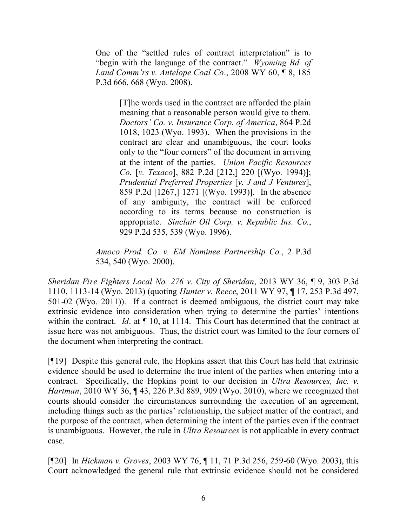One of the "settled rules of contract interpretation" is to "begin with the language of the contract." *Wyoming Bd. of Land Comm'rs v. Antelope Coal Co*., 2008 WY 60, ¶ 8, 185 P.3d 666, 668 (Wyo. 2008).

> [T]he words used in the contract are afforded the plain meaning that a reasonable person would give to them. *Doctors' Co. v. Insurance Corp. of America*, 864 P.2d 1018, 1023 (Wyo. 1993). When the provisions in the contract are clear and unambiguous, the court looks only to the "four corners" of the document in arriving at the intent of the parties. *Union Pacific Resources Co.* [*v. Texaco*], 882 P.2d [212,] 220 [(Wyo. 1994)]; *Prudential Preferred Properties* [*v. J and J Ventures*], 859 P.2d [1267,] 1271 [(Wyo. 1993)]. In the absence of any ambiguity, the contract will be enforced according to its terms because no construction is appropriate. *Sinclair Oil Corp. v. Republic Ins. Co.*, 929 P.2d 535, 539 (Wyo. 1996).

*Amoco Prod. Co. v. EM Nominee Partnership Co.*, 2 P.3d 534, 540 (Wyo. 2000).

*Sheridan Fire Fighters Local No. 276 v. City of Sheridan*, 2013 WY 36, ¶ 9, 303 P.3d 1110, 1113-14 (Wyo. 2013) (quoting *Hunter v. Reece*, 2011 WY 97, ¶ 17, 253 P.3d 497, 501-02 (Wyo. 2011)). If a contract is deemed ambiguous, the district court may take extrinsic evidence into consideration when trying to determine the parties' intentions within the contract. *Id*. at  $\P$  10, at 1114. This Court has determined that the contract at issue here was not ambiguous. Thus, the district court was limited to the four corners of the document when interpreting the contract.

[¶19] Despite this general rule, the Hopkins assert that this Court has held that extrinsic evidence should be used to determine the true intent of the parties when entering into a contract. Specifically, the Hopkins point to our decision in *Ultra Resources, Inc. v. Hartman*, 2010 WY 36, ¶ 43, 226 P.3d 889, 909 (Wyo. 2010), where we recognized that courts should consider the circumstances surrounding the execution of an agreement, including things such as the parties' relationship, the subject matter of the contract, and the purpose of the contract, when determining the intent of the parties even if the contract is unambiguous. However, the rule in *Ultra Resources* is not applicable in every contract case.

[¶20] In *Hickman v. Groves*, 2003 WY 76, ¶ 11, 71 P.3d 256, 259-60 (Wyo. 2003), this Court acknowledged the general rule that extrinsic evidence should not be considered